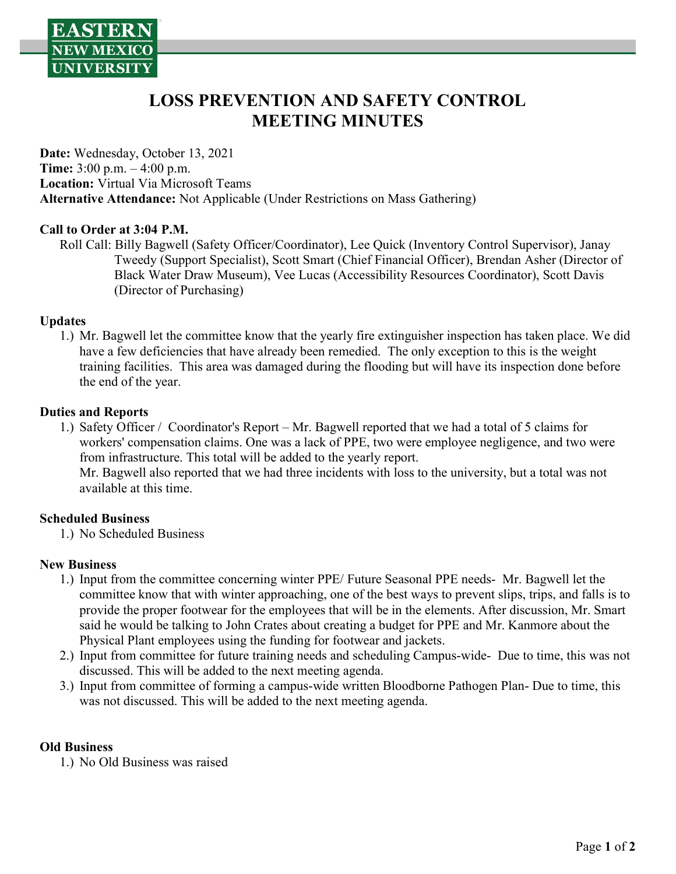

# LOSS PREVENTION AND SAFETY CONTROL MEETING MINUTES

Date: Wednesday, October 13, 2021 Time: 3:00 p.m. – 4:00 p.m. Location: Virtual Via Microsoft Teams Alternative Attendance: Not Applicable (Under Restrictions on Mass Gathering)

#### Call to Order at 3:04 P.M.

Roll Call: Billy Bagwell (Safety Officer/Coordinator), Lee Quick (Inventory Control Supervisor), Janay Tweedy (Support Specialist), Scott Smart (Chief Financial Officer), Brendan Asher (Director of Black Water Draw Museum), Vee Lucas (Accessibility Resources Coordinator), Scott Davis (Director of Purchasing)

#### Updates

1.) Mr. Bagwell let the committee know that the yearly fire extinguisher inspection has taken place. We did have a few deficiencies that have already been remedied. The only exception to this is the weight training facilities. This area was damaged during the flooding but will have its inspection done before the end of the year.

#### Duties and Reports

1.) Safety Officer / Coordinator's Report – Mr. Bagwell reported that we had a total of 5 claims for workers' compensation claims. One was a lack of PPE, two were employee negligence, and two were from infrastructure. This total will be added to the yearly report. Mr. Bagwell also reported that we had three incidents with loss to the university, but a total was not available at this time.

#### Scheduled Business

1.) No Scheduled Business

#### New Business

- 1.) Input from the committee concerning winter PPE/ Future Seasonal PPE needs- Mr. Bagwell let the committee know that with winter approaching, one of the best ways to prevent slips, trips, and falls is to provide the proper footwear for the employees that will be in the elements. After discussion, Mr. Smart said he would be talking to John Crates about creating a budget for PPE and Mr. Kanmore about the Physical Plant employees using the funding for footwear and jackets.
- 2.) Input from committee for future training needs and scheduling Campus-wide- Due to time, this was not discussed. This will be added to the next meeting agenda.
- 3.) Input from committee of forming a campus-wide written Bloodborne Pathogen Plan- Due to time, this was not discussed. This will be added to the next meeting agenda.

#### Old Business

1.) No Old Business was raised